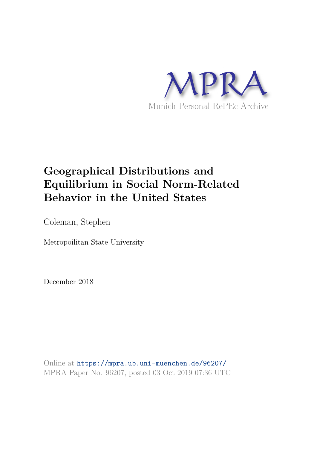

# **Geographical Distributions and Equilibrium in Social Norm-Related Behavior in the United States**

Coleman, Stephen

Metropoilitan State University

December 2018

Online at https://mpra.ub.uni-muenchen.de/96207/ MPRA Paper No. 96207, posted 03 Oct 2019 07:36 UTC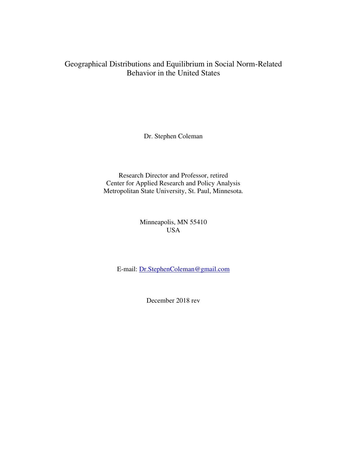# Geographical Distributions and Equilibrium in Social Norm-Related Behavior in the United States

Dr. Stephen Coleman

Research Director and Professor, retired Center for Applied Research and Policy Analysis Metropolitan State University, St. Paul, Minnesota.

> Minneapolis, MN 55410 USA

E-mail: [Dr.StephenColeman@gmail.com](mailto:Dr.StephenColeman@gmail.com)

December 2018 rev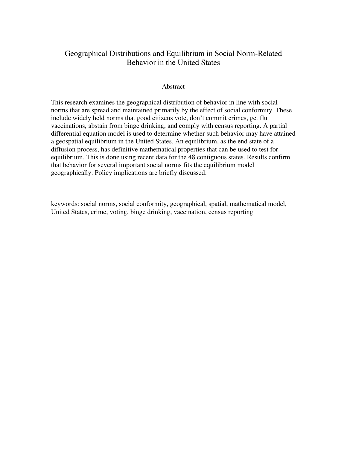# Geographical Distributions and Equilibrium in Social Norm-Related Behavior in the United States

### Abstract

This research examines the geographical distribution of behavior in line with social norms that are spread and maintained primarily by the effect of social conformity. These include widely held norms that good citizens vote, don't commit crimes, get flu vaccinations, abstain from binge drinking, and comply with census reporting. A partial differential equation model is used to determine whether such behavior may have attained a geospatial equilibrium in the United States. An equilibrium, as the end state of a diffusion process, has definitive mathematical properties that can be used to test for equilibrium. This is done using recent data for the 48 contiguous states. Results confirm that behavior for several important social norms fits the equilibrium model geographically. Policy implications are briefly discussed.

keywords: social norms, social conformity, geographical, spatial, mathematical model, United States, crime, voting, binge drinking, vaccination, census reporting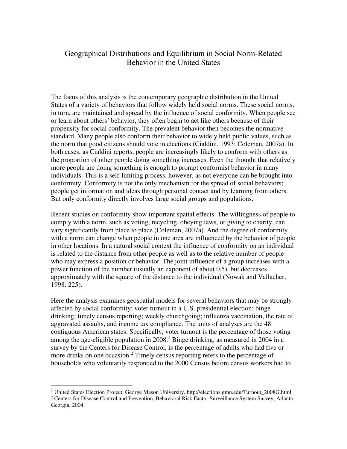# Geographical Distributions and Equilibrium in Social Norm-Related Behavior in the United States

The focus of this analysis is the contemporary geographic distribution in the United States of a variety of behaviors that follow widely held social norms. These social norms, in turn, are maintained and spread by the influence of social conformity. When people see or learn about others' behavior, they often begin to act like others because of their propensity for social conformity. The prevalent behavior then becomes the normative standard. Many people also conform their behavior to widely held public values, such as the norm that good citizens should vote in elections (Cialdini, 1993; Coleman, 2007a). In both cases, as Cialdini reports, people are increasingly likely to conform with others as the proportion of other people doing something increases. Even the thought that relatively more people are doing something is enough to prompt conformist behavior in many individuals. This is a self-limiting process, however, as not everyone can be brought into conformity. Conformity is not the only mechanism for the spread of social behaviors; people get information and ideas through personal contact and by learning from others. But only conformity directly involves large social groups and populations.

Recent studies on conformity show important spatial effects. The willingness of people to comply with a norm, such as voting, recycling, obeying laws, or giving to charity, can vary significantly from place to place (Coleman, 2007a). And the degree of conformity with a norm can change when people in one area are influenced by the behavior of people in other locations. In a natural social context the influence of conformity on an individual is related to the distance from other people as well as to the relative number of people who may express a position or behavior. The joint influence of a group increases with a power function of the number (usually an exponent of about 0.5), but decreases approximately with the square of the distance to the individual (Nowak and Vallacher, 1998: 225).

Here the analysis examines geospatial models for several behaviors that may be strongly affected by social conformity: voter turnout in a U.S. presidential election; binge drinking; timely census reporting; weekly churchgoing; influenza vaccination, the rate of aggravated assaults, and income tax compliance. The units of analyses are the 48 contiguous American states. Specifically, voter turnout is the percentage of those voting among the age-eligible population in  $2008<sup>1</sup>$  Binge drinking, as measured in  $2004$  in a survey by the Centers for Disease Control, is the percentage of adults who had five or more drinks on one occasion.<sup>2</sup> Timely census reporting refers to the percentage of households who voluntarily responded to the 2000 Census before census workers had to

<sup>&</sup>lt;sup>1</sup> United States Election Project, George Mason University, http://elections.gmu.edu/Turnout\_2008G.html.

<sup>&</sup>lt;sup>2</sup> Centers for Disease Control and Prevention, Behavioral Risk Factor Surveillance System Survey, Atlanta Georgia, 2004.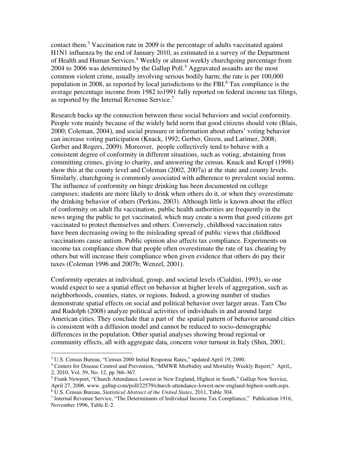contact them.<sup>3</sup> Vaccination rate in 2009 is the percentage of adults vaccinated against H1N1 influenza by the end of January 2010, as estimated in a survey of the Department of Health and Human Services.<sup>4</sup> Weekly or almost weekly churchgoing percentage from 2004 to 2006 was determined by the Gallup Poll.<sup>5</sup> Aggravated assaults are the most common violent crime, usually involving serious bodily harm; the rate is per 100,000 population in 2008, as reported by local jurisdictions to the FBI.<sup>6</sup> Tax compliance is the average percentage income from 1982 to1991 fully reported on federal income tax filings, as reported by the Internal Revenue Service.<sup>7</sup>

Research backs up the connection between these social behaviors and social conformity. People vote mainly because of the widely held norm that good citizens should vote (Blais, 2000; Coleman, 2004), and social pressure or information about others' voting behavior can increase voting participation (Knack, 1992; Gerber, Green, and Larimer, 2008; Gerber and Rogers, 2009). Moreover, people collectively tend to behave with a consistent degree of conformity in different situations, such as voting, abstaining from committing crimes, giving to charity, and answering the census. Knack and Kropf (1998) show this at the county level and Coleman (2002, 2007a) at the state and county levels. Similarly, churchgoing is commonly associated with adherence to prevalent social norms. The influence of conformity on binge drinking has been documented on college campuses; students are more likely to drink when others do it, or when they overestimate the drinking behavior of others (Perkins, 2003). Although little is known about the effect of conformity on adult flu vaccination, public health authorities are frequently in the news urging the public to get vaccinated, which may create a norm that good citizens get vaccinated to protect themselves and others. Conversely, childhood vaccination rates have been decreasing owing to the misleading spread of public views that childhood vaccinations cause autism. Public opinion also affects tax compliance. Experiments on income tax compliance show that people often overestimate the rate of tax cheating by others but will increase their compliance when given evidence that others do pay their taxes (Coleman 1996 and 2007b; Wenzel, 2001).

Conformity operates at individual, group, and societal levels (Cialdini, 1993), so one would expect to see a spatial effect on behavior at higher levels of aggregation, such as neighborhoods, counties, states, or regions. Indeed, a growing number of studies demonstrate spatial effects on social and political behavior over larger areas. Tam Cho and Rudolph (2008) analyze political activities of individuals in and around large American cities. They conclude that a part of the spatial pattern of behavior around cities is consistent with a diffusion model and cannot be reduced to socio-demographic differences in the population. Other spatial analyses showing broad regional or community effects, all with aggregate data, concern voter turnout in Italy (Shin, 2001;

<sup>3</sup> U.S. Census Bureau, "Census 2000 Initial Response Rates," updated April 19, 2000.

<sup>4</sup> Centers for Disease Control and Prevention, "MMWR Morbidity and Mortality Weekly Report;" April,, 2, 2010, Vol. 59, No. 12, pp 366-367.

<sup>&</sup>lt;sup>5</sup> Frank Newport, "Church Attendance Lowest in New England, Highest in South," Gallup New Service, April 27, 2006. www. gallup.com/poll/22579/church-attendance-lowest-new-england-highest-south.aspx. 6 U.S. Census Bureau, *Statistical Abstract of the United States*, 2011, Table 304.

<sup>7</sup> Internal Revenue Service, "The Determinants of Individual Income Tax Compliance," Publication 1916, November 1996, Table E-2.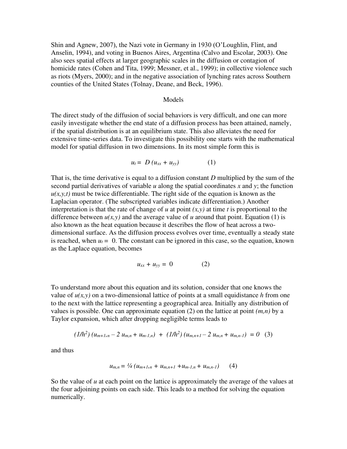Shin and Agnew, 2007), the Nazi vote in Germany in 1930 (O'Loughlin, Flint, and Anselin, 1994), and voting in Buenos Aires, Argentina (Calvo and Escolar, 2003). One also sees spatial effects at larger geographic scales in the diffusion or contagion of homicide rates (Cohen and Tita, 1999; Messner, et al., 1999); in collective violence such as riots (Myers, 2000); and in the negative association of lynching rates across Southern counties of the United States (Tolnay, Deane, and Beck, 1996).

#### Models

The direct study of the diffusion of social behaviors is very difficult, and one can more easily investigate whether the end state of a diffusion process has been attained, namely, if the spatial distribution is at an equilibrium state. This also alleviates the need for extensive time-series data. To investigate this possibility one starts with the mathematical model for spatial diffusion in two dimensions. In its most simple form this is

$$
u_t = D (u_{xx} + u_{yy}) \tag{1}
$$

That is, the time derivative is equal to a diffusion constant *D* multiplied by the sum of the second partial derivatives of variable *u* along the spatial coordinates *x* and *y*; the function  $u(x, y, t)$  must be twice differentiable. The right side of the equation is known as the Laplacian operator. (The subscripted variables indicate differentiation.) Another interpretation is that the rate of change of *u* at point  $(x, y)$  at time *t* is proportional to the difference between  $u(x, y)$  and the average value of *u* around that point. Equation (1) is also known as the heat equation because it describes the flow of heat across a twodimensional surface. As the diffusion process evolves over time, eventually a steady state is reached, when  $u_t = 0$ . The constant can be ignored in this case, so the equation, known as the Laplace equation, becomes

$$
u_{xx} + u_{yy} = 0 \tag{2}
$$

To understand more about this equation and its solution, consider that one knows the value of  $u(x, y)$  on a two-dimensional lattice of points at a small equidistance *h* from one to the next with the lattice representing a geographical area. Initially any distribution of values is possible. One can approximate equation (2) on the lattice at point  $(m, n)$  by a Taylor expansion, which after dropping negligible terms leads to

$$
(1/h^2)(u_{m+1,n}-2u_{m,n}+u_{m-1,n}) + (1/h^2)(u_{m,n+1}-2u_{m,n}+u_{m,n-1}) = 0
$$
 (3)

and thus

$$
u_{m,n} = \frac{1}{4} \left( u_{m+1,n} + u_{m,n+1} + u_{m-1,n} + u_{m,n-1} \right) \qquad (4)
$$

So the value of *u* at each point on the lattice is approximately the average of the values at the four adjoining points on each side. This leads to a method for solving the equation numerically.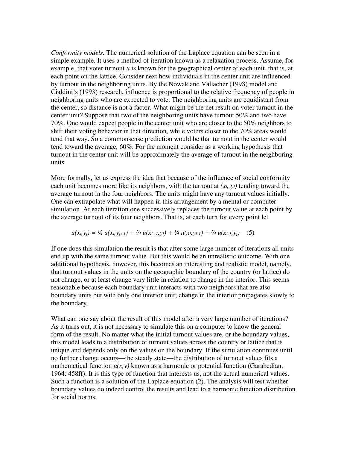*Conformity models.* The numerical solution of the Laplace equation can be seen in a simple example. It uses a method of iteration known as a relaxation process. Assume, for example, that voter turnout *u* is known for the geographical center of each unit, that is, at each point on the lattice. Consider next how individuals in the center unit are influenced by turnout in the neighboring units. By the Nowak and Vallacher (1998) model and Cialdini's (1993) research, influence is proportional to the relative frequency of people in neighboring units who are expected to vote. The neighboring units are equidistant from the center, so distance is not a factor. What might be the net result on voter turnout in the center unit? Suppose that two of the neighboring units have turnout 50% and two have 70%. One would expect people in the center unit who are closer to the 50% neighbors to shift their voting behavior in that direction, while voters closer to the 70% areas would tend that way. So a commonsense prediction would be that turnout in the center would tend toward the average, 60%. For the moment consider as a working hypothesis that turnout in the center unit will be approximately the average of turnout in the neighboring units.

More formally, let us express the idea that because of the influence of social conformity each unit becomes more like its neighbors, with the turnout at  $(x_i, y_i)$  tending toward the average turnout in the four neighbors. The units might have any turnout values initially. One can extrapolate what will happen in this arrangement by a mental or computer simulation. At each iteration one successively replaces the turnout value at each point by the average turnout of its four neighbors. That is, at each turn for every point let

$$
u(x_i, y_j) = \frac{1}{4} u(x_i, y_{j+1}) + \frac{1}{4} u(x_{i+1}, y_j) + \frac{1}{4} u(x_i, y_{j-1}) + \frac{1}{4} u(x_{i-1}, y_j)
$$
 (5)

If one does this simulation the result is that after some large number of iterations all units end up with the same turnout value. But this would be an unrealistic outcome. With one additional hypothesis, however, this becomes an interesting and realistic model, namely, that turnout values in the units on the geographic boundary of the country (or lattice) do not change, or at least change very little in relation to change in the interior. This seems reasonable because each boundary unit interacts with two neighbors that are also boundary units but with only one interior unit; change in the interior propagates slowly to the boundary.

What can one say about the result of this model after a very large number of iterations? As it turns out, it is not necessary to simulate this on a computer to know the general form of the result. No matter what the initial turnout values are, or the boundary values, this model leads to a distribution of turnout values across the country or lattice that is unique and depends only on the values on the boundary. If the simulation continues until no further change occurs—the steady state—the distribution of turnout values fits a mathematical function  $u(x, y)$  known as a harmonic or potential function (Garabedian, 1964: 458ff). It is this type of function that interests us, not the actual numerical values. Such a function is a solution of the Laplace equation (2). The analysis will test whether boundary values do indeed control the results and lead to a harmonic function distribution for social norms.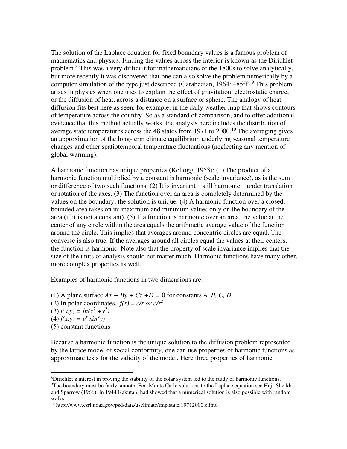The solution of the Laplace equation for fixed boundary values is a famous problem of mathematics and physics. Finding the values across the interior is known as the Dirichlet problem.<sup>8</sup> This was a very difficult for mathematicians of the 1800s to solve analytically, but more recently it was discovered that one can also solve the problem numerically by a computer simulation of the type just described (Garabedian, 1964: 485ff).<sup>9</sup> This problem arises in physics when one tries to explain the effect of gravitation, electrostatic charge, or the diffusion of heat, across a distance on a surface or sphere. The analogy of heat diffusion fits best here as seen, for example, in the daily weather map that shows contours of temperature across the country. So as a standard of comparison, and to offer additional evidence that this method actually works, the analysis here includes the distribution of average state temperatures across the 48 states from 1971 to  $2000$ .<sup>10</sup> The averaging gives an approximation of the long-term climate equilibrium underlying seasonal temperature changes and other spatiotemporal temperature fluctuations (neglecting any mention of global warming).

A harmonic function has unique properties (Kellogg, 1953): (1) The product of a harmonic function multiplied by a constant is harmonic (scale invariance), as is the sum or difference of two such functions. (2) It is invariant—still harmonic—under translation or rotation of the axes. (3) The function over an area is completely determined by the values on the boundary; the solution is unique. (4) A harmonic function over a closed, bounded area takes on its maximum and minimum values only on the boundary of the area (if it is not a constant). (5) If a function is harmonic over an area, the value at the center of any circle within the area equals the arithmetic average value of the function around the circle. This implies that averages around concentric circles are equal. The converse is also true. If the averages around all circles equal the values at their centers, the function is harmonic. Note also that the property of scale invariance implies that the size of the units of analysis should not matter much. Harmonic functions have many other, more complex properties as well.

Examples of harmonic functions in two dimensions are:

(1) A plane surface  $Ax + By + Cz + D = 0$  for constants A, B, C, D (2) In polar coordinates,  $f(r) = c/r$  or  $c/r^2$  $(3) f(x, y) = ln(x^2 + y^2)$  $(4) f(x, y) = e^x \sin(y)$ (5) constant functions

Because a harmonic function is the unique solution to the diffusion problem represented by the lattice model of social conformity, one can use properties of harmonic functions as approximate tests for the validity of the model. Here three properties of harmonic

 $8$ Dirichlet's interest in proving the stability of the solar system led to the study of harmonic functions. <sup>9</sup>The boundary must be fairly smooth. For Monte Carlo solutions to the Laplace equation see Haji-Sheikh and Sparrow (1966). In 1944 Kakutani had showed that a numerical solution is also possible with random walks.

<sup>10</sup> http://www.esrl.noaa.gov/psd/data/usclimate/tmp.state.19712000.climo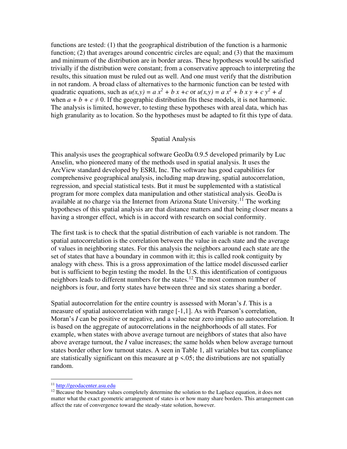functions are tested: (1) that the geographical distribution of the function is a harmonic function; (2) that averages around concentric circles are equal; and (3) that the maximum and minimum of the distribution are in border areas. These hypotheses would be satisfied trivially if the distribution were constant; from a conservative approach to interpreting the results, this situation must be ruled out as well. And one must verify that the distribution in not random. A broad class of alternatives to the harmonic function can be tested with quadratic equations, such as  $u(x, y) = a x^2 + b x + c$  or  $u(x, y) = a x^2 + b x y + c y^2 + d$ when  $a + b + c \neq 0$ . If the geographic distribution fits these models, it is not harmonic. The analysis is limited, however, to testing these hypotheses with areal data, which has high granularity as to location. So the hypotheses must be adapted to fit this type of data.

#### Spatial Analysis

This analysis uses the geographical software GeoDa 0.9.5 developed primarily by Luc Anselin, who pioneered many of the methods used in spatial analysis. It uses the ArcView standard developed by ESRI, Inc. The software has good capabilities for comprehensive geographical analysis, including map drawing, spatial autocorrelation, regression, and special statistical tests. But it must be supplemented with a statistical program for more complex data manipulation and other statistical analysis. GeoDa is available at no charge via the Internet from Arizona State University.<sup>11</sup> The working hypotheses of this spatial analysis are that distance matters and that being closer means a having a stronger effect, which is in accord with research on social conformity.

The first task is to check that the spatial distribution of each variable is not random. The spatial autocorrelation is the correlation between the value in each state and the average of values in neighboring states. For this analysis the neighbors around each state are the set of states that have a boundary in common with it; this is called rook contiguity by analogy with chess. This is a gross approximation of the lattice model discussed earlier but is sufficient to begin testing the model. In the U.S. this identification of contiguous neighbors leads to different numbers for the states.<sup>12</sup> The most common number of neighbors is four, and forty states have between three and six states sharing a border.

Spatial autocorrelation for the entire country is assessed with Moran's *I*. This is a measure of spatial autocorrelation with range [-1,1]. As with Pearson's correlation, Moran's *I* can be positive or negative, and a value near zero implies no autocorrelation. It is based on the aggregate of autocorrelations in the neighborhoods of all states. For example, when states with above average turnout are neighbors of states that also have above average turnout, the *I* value increases; the same holds when below average turnout states border other low turnout states. A seen in Table 1, all variables but tax compliance are statistically significant on this measure at  $p \le 0.05$ ; the distributions are not spatially random.

<sup>11</sup> [http://geodacenter.asu.edu](http://geodacenter.asu.edu/)

<sup>&</sup>lt;sup>12</sup> Because the boundary values completely determine the solution to the Laplace equation, it does not matter what the exact geometric arrangement of states is or how many share borders. This arrangement can affect the rate of convergence toward the steady-state solution, however.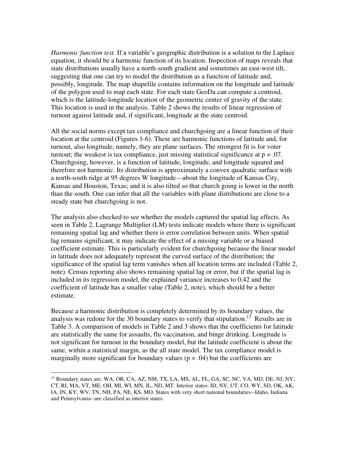*Harmonic function test.* If a variable's geographic distribution is a solution to the Laplace equation, it should be a harmonic function of its location. Inspection of maps reveals that state distributions usually have a north-south gradient and sometimes an east-west tilt, suggesting that one can try to model the distribution as a function of latitude and, possibly, longitude. The map shapefile contains information on the longitude and latitude of the polygon used to map each state. For each state GeoDa can compute a centroid, which is the latitude-longitude location of the geometric center of gravity of the state. This location is used in the analysis. Table 2 shows the results of linear regression of turnout against latitude and, if significant, longitude at the state centroid.

All the social norms except tax compliance and churchgoing are a linear function of their location at the centroid (Figures 1-6). These are harmonic functions of latitude and, for turnout, also longitude; namely, they are plane surfaces. The strongest fit is for voter turnout; the weakest is tax compliance, just missing statistical significance at  $p = .07$ . Churchgoing, however, is a function of latitude, longitude, and longitude squared and therefore not harmonic. Its distribution is approximately a convex quadratic surface with a north-south ridge at 95 degrees W longitude—about the longitude of Kansas City, Kansas and Houston, Texas; and it is also tilted so that church going is lower in the north than the south. One can infer that all the variables with plane distributions are close to a steady state but churchgoing is not.

The analysis also checked to see whether the models captured the spatial lag effects. As seen in Table 2, Lagrange Multiplier (LM) tests indicate models where there is significant remaining spatial lag and whether there is error correlation between units. When spatial lag remains significant, it may indicate the effect of a missing variable or a biased coefficient estimate. This is particularly evident for churchgoing because the linear model in latitude does not adequately represent the curved surface of the distribution; the significance of the spatial lag term vanishes when all location terms are included (Table 2, note). Census reporting also shows remaining spatial lag or error, but if the spatial lag is included in its regression model, the explained variance increases to 0.42 and the coefficient of latitude has a smaller value (Table 2, note), which should be a better estimate.

Because a harmonic distribution is completely determined by its boundary values, the analysis was redone for the 30 boundary states to verify that stipulation.<sup>13</sup> Results are in Table 3. A comparison of models in Table 2 and 3 shows that the coefficients for latitude are statistically the same for assaults, flu vaccination, and binge drinking. Longitude is not significant for turnout in the boundary model, but the latitude coefficient is about the same, within a statistical margin, as the all state model. The tax compliance model is marginally more significant for boundary values ( $p = .04$ ) but the coefficients are

<sup>&</sup>lt;sup>13</sup> Boundary states are: WA, OR, CA, AZ, NM, TX, LA, MS, AL, FL, GA, SC, NC, VA, MD, DE, NJ, NY, CT, RI, MA, VT, ME, OH, MI, WI, MN, IL, ND, MT. Interior states: ID, NV, UT, CO, WY, SD, OK, AK, IA, IN, KY, WV, TN, NH, PA, NE, KS, MO. States with very short national boundaries--Idaho, Indiana and Pennsylvania--are classified as interior states.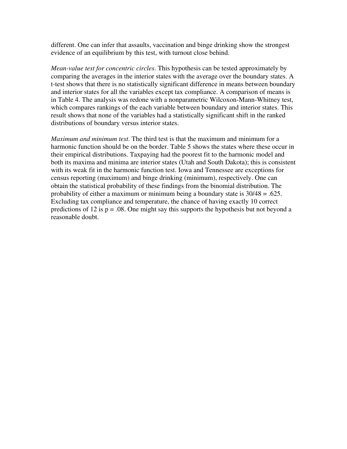different. One can infer that assaults, vaccination and binge drinking show the strongest evidence of an equilibrium by this test, with turnout close behind.

*Mean-value test for concentric circles*. This hypothesis can be tested approximately by comparing the averages in the interior states with the average over the boundary states. A t-test shows that there is no statistically significant difference in means between boundary and interior states for all the variables except tax compliance. A comparison of means is in Table 4. The analysis was redone with a nonparametric Wilcoxon-Mann-Whitney test, which compares rankings of the each variable between boundary and interior states. This result shows that none of the variables had a statistically significant shift in the ranked distributions of boundary versus interior states.

*Maximum and minimum test*. The third test is that the maximum and minimum for a harmonic function should be on the border. Table 5 shows the states where these occur in their empirical distributions. Taxpaying had the poorest fit to the harmonic model and both its maxima and minima are interior states (Utah and South Dakota); this is consistent with its weak fit in the harmonic function test. Iowa and Tennessee are exceptions for census reporting (maximum) and binge drinking (minimum), respectively. One can obtain the statistical probability of these findings from the binomial distribution. The probability of either a maximum or minimum being a boundary state is 30/48 = .625. Excluding tax compliance and temperature, the chance of having exactly 10 correct predictions of 12 is  $p = 0.08$ . One might say this supports the hypothesis but not beyond a reasonable doubt.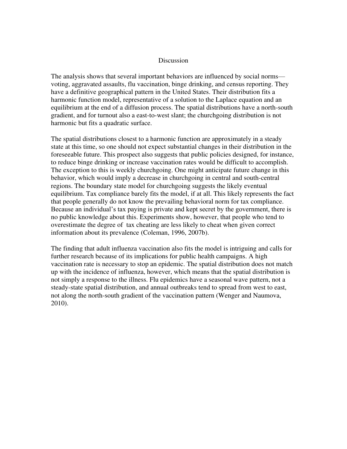#### Discussion

The analysis shows that several important behaviors are influenced by social norms voting, aggravated assaults, flu vaccination, binge drinking, and census reporting. They have a definitive geographical pattern in the United States. Their distribution fits a harmonic function model, representative of a solution to the Laplace equation and an equilibrium at the end of a diffusion process. The spatial distributions have a north-south gradient, and for turnout also a east-to-west slant; the churchgoing distribution is not harmonic but fits a quadratic surface.

The spatial distributions closest to a harmonic function are approximately in a steady state at this time, so one should not expect substantial changes in their distribution in the foreseeable future. This prospect also suggests that public policies designed, for instance, to reduce binge drinking or increase vaccination rates would be difficult to accomplish. The exception to this is weekly churchgoing. One might anticipate future change in this behavior, which would imply a decrease in churchgoing in central and south-central regions. The boundary state model for churchgoing suggests the likely eventual equilibrium. Tax compliance barely fits the model, if at all. This likely represents the fact that people generally do not know the prevailing behavioral norm for tax compliance. Because an individual's tax paying is private and kept secret by the government, there is no public knowledge about this. Experiments show, however, that people who tend to overestimate the degree of tax cheating are less likely to cheat when given correct information about its prevalence (Coleman, 1996, 2007b).

The finding that adult influenza vaccination also fits the model is intriguing and calls for further research because of its implications for public health campaigns. A high vaccination rate is necessary to stop an epidemic. The spatial distribution does not match up with the incidence of influenza, however, which means that the spatial distribution is not simply a response to the illness. Flu epidemics have a seasonal wave pattern, not a steady-state spatial distribution, and annual outbreaks tend to spread from west to east, not along the north-south gradient of the vaccination pattern (Wenger and Naumova, 2010).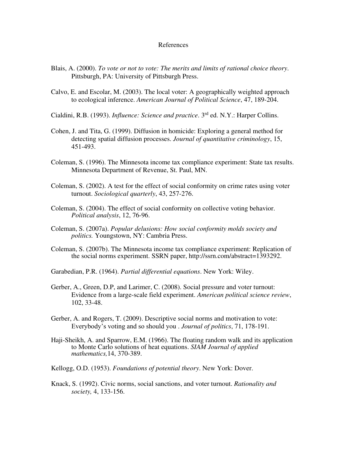#### References

- Blais, A. (2000). *To vote or not to vote: The merits and limits of rational choice theory*. Pittsburgh, PA: University of Pittsburgh Press.
- Calvo, E. and Escolar, M. (2003). The local voter: A geographically weighted approach to ecological inference. *American Journal of Political Science*, 47, 189-204.
- Cialdini, R.B. (1993). *Influence: Science and practice*. 3rd ed. N.Y.: Harper Collins.
- Cohen, J. and Tita, G. (1999). Diffusion in homicide: Exploring a general method for detecting spatial diffusion processes. *Journal of quantitative criminology*, 15, 451-493.
- Coleman, S. (1996). The Minnesota income tax compliance experiment: State tax results. Minnesota Department of Revenue, St. Paul, MN.
- Coleman, S. (2002). A test for the effect of social conformity on crime rates using voter turnout. *Sociological quarterly*, 43, 257-276.
- Coleman, S. (2004). The effect of social conformity on collective voting behavior. *Political analysis*, 12, 76-96.
- Coleman, S. (2007a). *Popular delusions: How social conformity molds society and politics.* Youngstown, NY: Cambria Press.
- Coleman, S. (2007b). The Minnesota income tax compliance experiment: Replication of the social norms experiment. SSRN paper, http://ssrn.com/abstract=1393292.

Garabedian, P.R. (1964). *Partial differential equations*. New York: Wiley.

- Gerber, A., Green, D.P, and Larimer, C. (2008). Social pressure and voter turnout: Evidence from a large-scale field experiment. *American political science review*, 102, 33-48.
- Gerber, A. and Rogers, T. (2009). Descriptive social norms and motivation to vote: Everybody's voting and so should you . *Journal of politics*, 71, 178-191.
- Haji-Sheikh, A. and Sparrow, E.M. (1966). The floating random walk and its application to Monte Carlo solutions of heat equations. *SIAM Journal of applied mathematics,*14, 370-389.
- Kellogg, O.D. (1953). *Foundations of potential theory*. New York: Dover.
- Knack, S. (1992). Civic norms, social sanctions, and voter turnout. *Rationality and society,* 4, 133-156.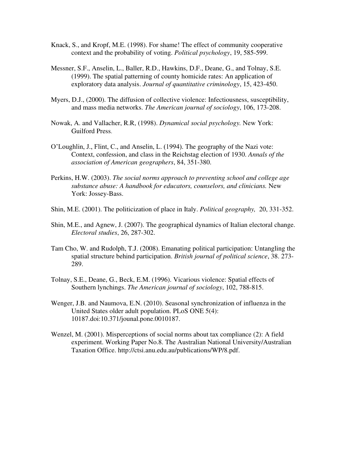- Knack, S., and Kropf, M.E. (1998). For shame! The effect of community cooperative context and the probability of voting. *Political psychology*, 19, 585-599.
- Messner, S.F., Anselin, L., Baller, R.D., Hawkins, D.F., Deane, G., and Tolnay, S.E. (1999). The spatial patterning of county homicide rates: An application of exploratory data analysis. *Journal of quantitative criminology*, 15, 423-450.
- Myers, D.J., (2000). The diffusion of collective violence: Infectiousness, susceptibility, and mass media networks. *The American journal of sociology*, 106, 173-208.
- Nowak, A. and Vallacher, R.R, (1998). *Dynamical social psychology.* New York: Guilford Press.
- O'Loughlin, J., Flint, C., and Anselin, L. (1994). The geography of the Nazi vote: Context, confession, and class in the Reichstag election of 1930. *Annals of the association of American geographers*, 84, 351-380.
- Perkins, H.W. (2003). *The social norms approach to preventing school and college age substance abuse: A handbook for educators, counselors, and clinicians.* New York: Jossey-Bass.
- Shin, M.E. (2001). The politicization of place in Italy. *Political geography,* 20, 331-352.
- Shin, M.E., and Agnew, J. (2007). The geographical dynamics of Italian electoral change. *Electoral studies*, 26, 287-302.
- Tam Cho, W. and Rudolph, T.J. (2008). Emanating political participation: Untangling the spatial structure behind participation. *British journal of political science*, 38. 273- 289.
- Tolnay, S.E., Deane, G., Beck, E.M. (1996). Vicarious violence: Spatial effects of Southern lynchings. *The American journal of sociology*, 102, 788-815.
- Wenger, J.B. and Naumova, E.N. (2010). Seasonal synchronization of influenza in the United States older adult population. PLoS ONE 5(4): 10187.doi:10.371/jounal.pone.0010187.
- Wenzel, M. (2001). Misperceptions of social norms about tax compliance (2): A field experiment. Working Paper No.8. The Australian National University/Australian Taxation Office. http://ctsi.anu.edu.au/publications/WP/8.pdf.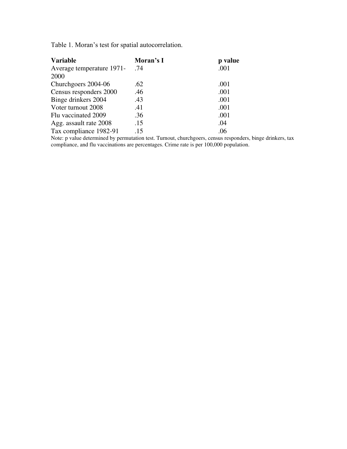Table 1. Moran's test for spatial autocorrelation.

| <b>Variable</b>           | Moran's I | p value |
|---------------------------|-----------|---------|
| Average temperature 1971- | .74       | .001    |
| 2000                      |           |         |
| Churchgoers 2004-06       | .62       | .001    |
| Census responders 2000    | .46       | .001    |
| Binge drinkers 2004       | .43       | .001    |
| Voter turnout 2008        | .41       | .001    |
| Flu vaccinated 2009       | .36       | .001    |
| Agg. assault rate 2008    | .15       | .04     |
| Tax compliance 1982-91    | .15       | .06     |

Note: p value determined by permutation test. Turnout, churchgoers, census responders, binge drinkers, tax compliance, and flu vaccinations are percentages. Crime rate is per 100,000 population.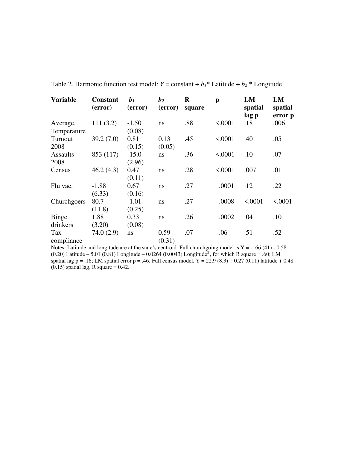| <b>Variable</b> | <b>Constant</b><br>(error) | b <sub>1</sub><br>(error) | b <sub>2</sub><br>(error) | $\bf R$<br>square | $\mathbf{p}$ | LM<br>spatial<br>lag p | LM<br>spatial<br>error p |
|-----------------|----------------------------|---------------------------|---------------------------|-------------------|--------------|------------------------|--------------------------|
| Average.        | 111(3.2)                   | $-1.50$                   | ns                        | .88               | < .0001      | .18                    | .006                     |
| Temperature     |                            | (0.08)                    |                           |                   |              |                        |                          |
| Turnout         | 39.2(7.0)                  | 0.81                      | 0.13                      | .45               | < .0001      | .40                    | .05                      |
| 2008            |                            | (0.15)                    | (0.05)                    |                   |              |                        |                          |
| <b>Assaults</b> | 853 (117)                  | $-15.0$                   | ns                        | .36               | < .0001      | .10                    | .07                      |
| 2008            |                            | (2.96)                    |                           |                   |              |                        |                          |
| Census          | 46.2(4.3)                  | 0.47                      | ns                        | .28               | < .0001      | .007                   | .01                      |
|                 |                            | (0.11)                    |                           |                   |              |                        |                          |
| Flu vac.        | $-1.88$                    | 0.67                      | ns                        | .27               | .0001        | .12                    | .22                      |
|                 | (6.33)                     | (0.16)                    |                           |                   |              |                        |                          |
| Churchgoers     | 80.7                       | $-1.01$                   | ns                        | .27               | .0008        | < .0001                | < .0001                  |
|                 | (11.8)                     | (0.25)                    |                           |                   |              |                        |                          |
| <b>Binge</b>    | 1.88                       | 0.33                      | ns                        | .26               | .0002        | .04                    | .10                      |
| drinkers        | (3.20)                     | (0.08)                    |                           |                   |              |                        |                          |
| <b>Tax</b>      | 74.0(2.9)                  | ns                        | 0.59                      | .07               | .06          | .51                    | .52                      |
| compliance      |                            |                           | (0.31)                    |                   |              |                        |                          |

Table 2. Harmonic function test model:  $Y = constant + b_1 *$  Latitude +  $b_2 *$  Longitude

Notes: Latitude and longitude are at the state's centroid. Full churchgoing model is  $Y = -166(41) - 0.58$ (0.20) Latitude – 5.01 (0.81) Longitude – 0.0264 (0.0043) Longitude<sup>2</sup>, for which R square = .60; LM spatial lag p = .16; LM spatial error p = .46. Full census model,  $Y = 22.9 (8.3) + 0.27 (0.11)$  latitude + 0.48  $(0.15)$  spatial lag, R square = 0.42.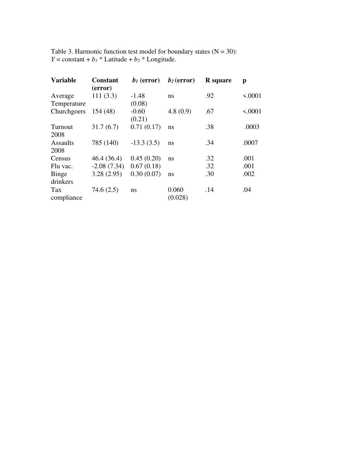Table 3. Harmonic function test model for boundary states  $(N = 30)$ : *Y* = constant + *b*<sub>*I*</sub> \* Latitude + *b*<sub>2</sub> \* Longitude.

| <b>Variable</b>            | <b>Constant</b><br>(error) | $b_1$ (error)               | $b_2$ (error)    | <b>R</b> square | p       |
|----------------------------|----------------------------|-----------------------------|------------------|-----------------|---------|
| Average                    | 111(3.3)                   | $-1.48$                     | ns               | .92             | < .0001 |
| Temperature<br>Churchgoers | 154(48)                    | (0.08)<br>$-0.60$<br>(0.21) | 4.8(0.9)         | .67             | < .0001 |
| Turnout<br>2008            | 31.7(6.7)                  | 0.71(0.17)                  | ns               | .38             | .0003   |
| <b>Assaults</b><br>2008    | 785 (140)                  | $-13.3(3.5)$                | ns               | .34             | .0007   |
| Census                     | 46.4(36.4)                 | 0.45(0.20)                  | ns               | .32             | .001    |
| Flu vac.                   | $-2.08(7.34)$              | 0.67(0.18)                  |                  | .32             | .001    |
| <b>Binge</b><br>drinkers   | 3.28(2.95)                 | 0.30(0.07)                  | ns               | .30             | .002    |
| Tax<br>compliance          | 74.6(2.5)                  | ns                          | 0.060<br>(0.028) | .14             | .04     |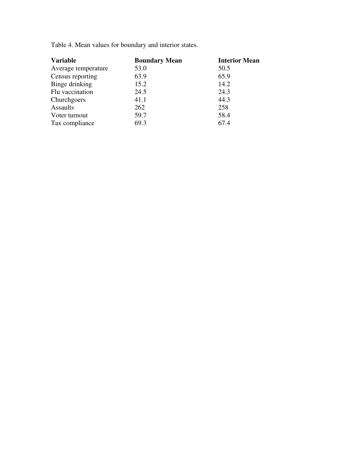Table 4. Mean values for boundary and interior states.

| <b>Variable</b>     | <b>Boundary Mean</b> | <b>Interior Mean</b> |
|---------------------|----------------------|----------------------|
| Average temperature | 53.0                 | 50.5                 |
| Census reporting    | 63.9                 | 65.9                 |
| Binge drinking      | 15.2                 | 14.2                 |
| Flu vaccination     | 24.5                 | 24.3                 |
| Churchgoers         | 41.1                 | 44.3                 |
| <b>Assaults</b>     | 262                  | 258                  |
| Voter turnout       | 59.7                 | 58.4                 |
| Tax compliance      | 69.3                 | 67.4                 |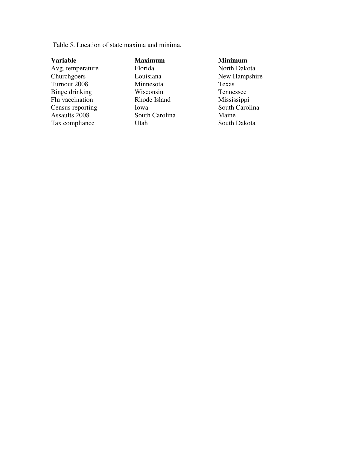Table 5. Location of state maxima and minima.

**Variable Maximum Minimum** 

Avg. temperature Florida North Dakota<br>Churchgoers Louisiana New Hampshi Turnout 2008 Minnesota Texas Binge drinking Wisconsin Tennessee<br>Flu vaccination Rhode Island Mississippi Flu vaccination Rhode Island Mississippi<br>
Census reporting Iowa South Carolina Census reporting Iowa South Carolina South Carolina<br>Assaults 2008 South Carolina Maine Tax compliance Utah Utah South Dakota

South Carolina

New Hampshire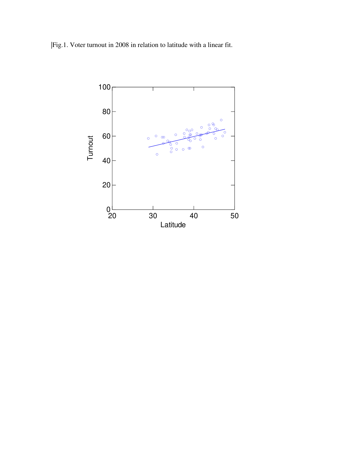|Fig.1. Voter turnout in 2008 in relation to latitude with a linear fit.

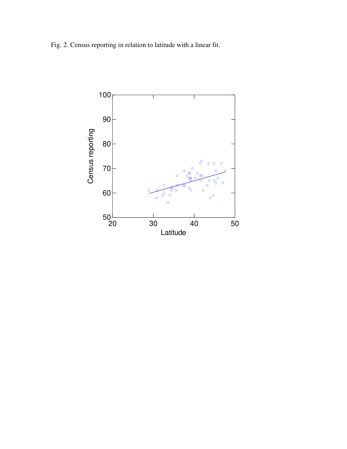Fig. 2. Census reporting in relation to latitude with a linear fit.

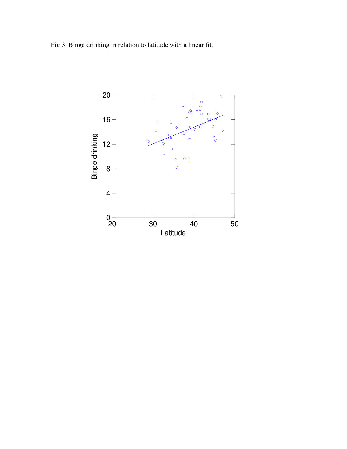Fig 3. Binge drinking in relation to latitude with a linear fit.

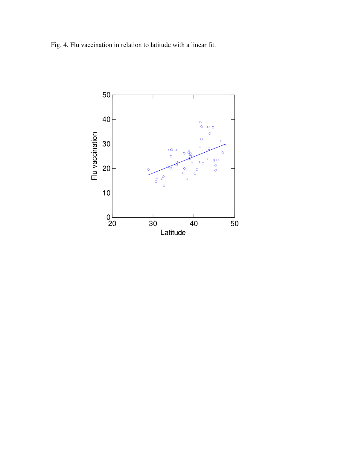Fig. 4. Flu vaccination in relation to latitude with a linear fit.

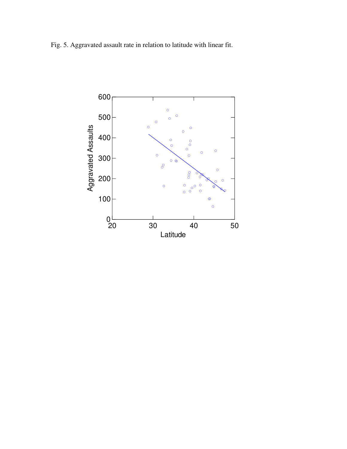Fig. 5. Aggravated assault rate in relation to latitude with linear fit.